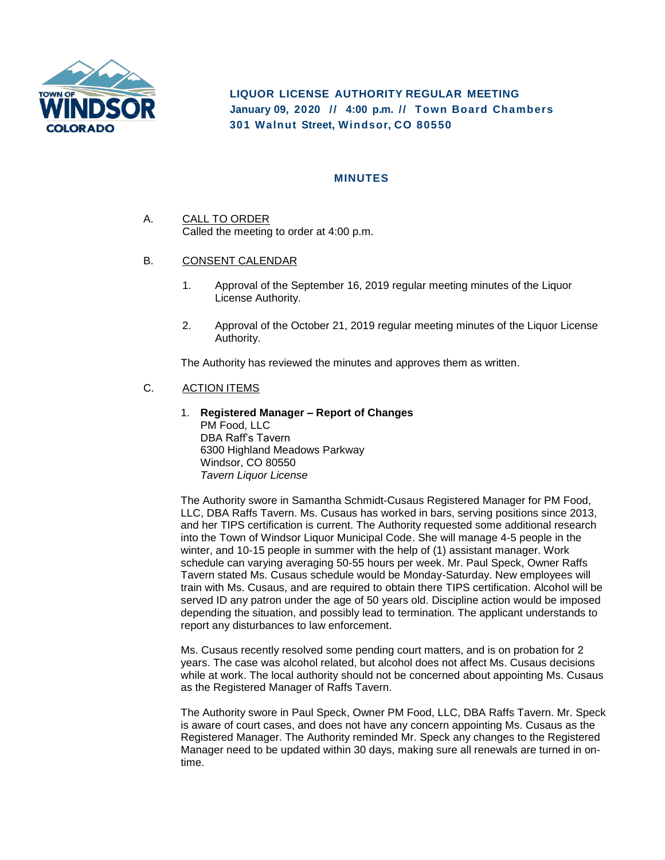

**LIQUOR LICENSE AUTHORITY REGULAR MEETING January 09, 2020 // 4:00 p. m. // Town Board Chambers 301 Walnut Street, Windsor, CO 80550**

## **MINUTES**

- A. CALL TO ORDER Called the meeting to order at 4:00 p.m.
- B. CONSENT CALENDAR
	- 1. Approval of the September 16, 2019 regular meeting minutes of the Liquor License Authority.
	- 2. Approval of the October 21, 2019 regular meeting minutes of the Liquor License Authority.

The Authority has reviewed the minutes and approves them as written.

### C. ACTION ITEMS

1. **Registered Manager – Report of Changes** PM Food, LLC DBA Raff's Tavern 6300 Highland Meadows Parkway Windsor, CO 80550 *Tavern Liquor License*

The Authority swore in Samantha Schmidt-Cusaus Registered Manager for PM Food, LLC, DBA Raffs Tavern. Ms. Cusaus has worked in bars, serving positions since 2013, and her TIPS certification is current. The Authority requested some additional research into the Town of Windsor Liquor Municipal Code. She will manage 4-5 people in the winter, and 10-15 people in summer with the help of (1) assistant manager. Work schedule can varying averaging 50-55 hours per week. Mr. Paul Speck, Owner Raffs Tavern stated Ms. Cusaus schedule would be Monday-Saturday. New employees will train with Ms. Cusaus, and are required to obtain there TIPS certification. Alcohol will be served ID any patron under the age of 50 years old. Discipline action would be imposed depending the situation, and possibly lead to termination. The applicant understands to report any disturbances to law enforcement.

Ms. Cusaus recently resolved some pending court matters, and is on probation for 2 years. The case was alcohol related, but alcohol does not affect Ms. Cusaus decisions while at work. The local authority should not be concerned about appointing Ms. Cusaus as the Registered Manager of Raffs Tavern.

The Authority swore in Paul Speck, Owner PM Food, LLC, DBA Raffs Tavern. Mr. Speck is aware of court cases, and does not have any concern appointing Ms. Cusaus as the Registered Manager. The Authority reminded Mr. Speck any changes to the Registered Manager need to be updated within 30 days, making sure all renewals are turned in ontime.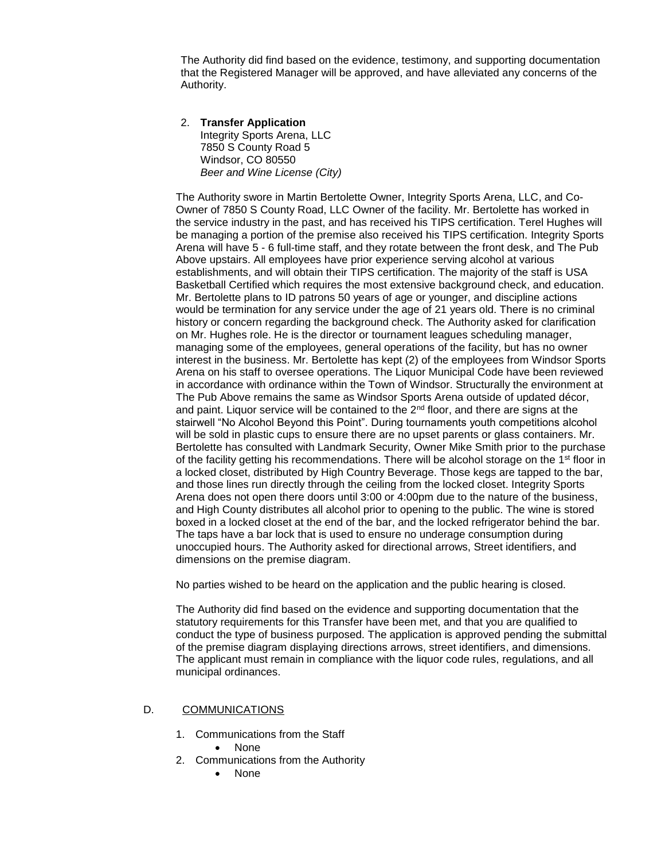The Authority did find based on the evidence, testimony, and supporting documentation that the Registered Manager will be approved, and have alleviated any concerns of the Authority.

#### 2. **Transfer Application**  Integrity Sports Arena, LLC 7850 S County Road 5 Windsor, CO 80550 *Beer and Wine License (City)*

The Authority swore in Martin Bertolette Owner, Integrity Sports Arena, LLC, and Co-Owner of 7850 S County Road, LLC Owner of the facility. Mr. Bertolette has worked in the service industry in the past, and has received his TIPS certification. Terel Hughes will be managing a portion of the premise also received his TIPS certification. Integrity Sports Arena will have 5 - 6 full-time staff, and they rotate between the front desk, and The Pub Above upstairs. All employees have prior experience serving alcohol at various establishments, and will obtain their TIPS certification. The majority of the staff is USA Basketball Certified which requires the most extensive background check, and education. Mr. Bertolette plans to ID patrons 50 years of age or younger, and discipline actions would be termination for any service under the age of 21 years old. There is no criminal history or concern regarding the background check. The Authority asked for clarification on Mr. Hughes role. He is the director or tournament leagues scheduling manager, managing some of the employees, general operations of the facility, but has no owner interest in the business. Mr. Bertolette has kept (2) of the employees from Windsor Sports Arena on his staff to oversee operations. The Liquor Municipal Code have been reviewed in accordance with ordinance within the Town of Windsor. Structurally the environment at The Pub Above remains the same as Windsor Sports Arena outside of updated décor, and paint. Liquor service will be contained to the  $2<sup>nd</sup>$  floor, and there are signs at the stairwell "No Alcohol Beyond this Point". During tournaments youth competitions alcohol will be sold in plastic cups to ensure there are no upset parents or glass containers. Mr. Bertolette has consulted with Landmark Security, Owner Mike Smith prior to the purchase of the facility getting his recommendations. There will be alcohol storage on the 1<sup>st</sup> floor in a locked closet, distributed by High Country Beverage. Those kegs are tapped to the bar, and those lines run directly through the ceiling from the locked closet. Integrity Sports Arena does not open there doors until 3:00 or 4:00pm due to the nature of the business, and High County distributes all alcohol prior to opening to the public. The wine is stored boxed in a locked closet at the end of the bar, and the locked refrigerator behind the bar. The taps have a bar lock that is used to ensure no underage consumption during unoccupied hours. The Authority asked for directional arrows, Street identifiers, and dimensions on the premise diagram.

No parties wished to be heard on the application and the public hearing is closed.

The Authority did find based on the evidence and supporting documentation that the statutory requirements for this Transfer have been met, and that you are qualified to conduct the type of business purposed. The application is approved pending the submittal of the premise diagram displaying directions arrows, street identifiers, and dimensions. The applicant must remain in compliance with the liquor code rules, regulations, and all municipal ordinances.

#### D. COMMUNICATIONS

- 1. Communications from the Staff
	- None
- 2. Communications from the Authority
	- None